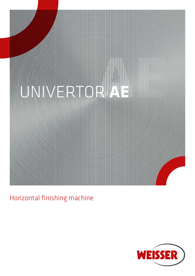

Horizontal finishing machine

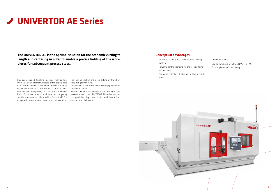**The UNIVERTOR AE is the optimal solution for the economic cutting to length and centering in order to enable a precise holding of the workpieces for subsequent process steps.**

Modular designed finishing machine with original WEISSER pick-up system. Instead of the basic sledge with motor spindle, a modified, movable built-up sledge with robust centric clamps is used to hold shaft-shaped workpieces, such as gear and crankshafts. This means that no additional robot or gantry solutions are required, the machine feeds itself. The design with robust disk or crown turrets allows spind-

# **UNIVERTOR AE Series**

ling, milling, drilling and deep drilling of the shaft ends using driven tools.

The horizontal axis of the machine is equipped with a linear direct drive.

Besides the excellent dynamics and the high rapid traverse speeds, the UNIVERTOR AE series also has very good damping characteristics and thus a firstclass accuracy behaviour.

- Automatic loading with the integrated pick-up system
- Powerful centric clamping for the reliable fixing of raw parts
- Centering, spindling, drilling and milling of shaft ends



#### **Conceptual advantages:**

- Deep hole drilling
- Can be combined with the UNIVERTOR AS for complete shaft machining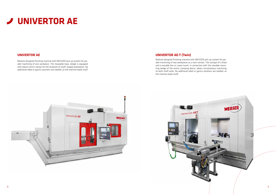## **UNIVERTOR AE-T (Twin)**

Modular designed finishing machine with WEISSER pick-up system for parallel machining of two workpieces as a twin version. The concept of a fixed and a movable disc or crown turret, in connection with the movable mounting sledge of the centric clamping device, allows simultaneous machining on both shaft ends. No additional robot or gantry solutions are needed, as the machine loads itself.



Modular designed finishing machine with WEISSER pick-up system for parallel machining of one workpiece. The moveable basic sledge is equipped with robust centric clamps for the reception of shaft-shaped workpieces. No additional robot or gantry solutions are needed, as the machine loads itself.

### **UNIVERTOR AE**



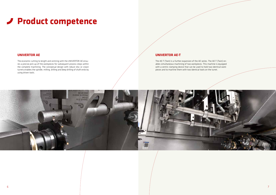#### **UNIVERTOR AE**

# **Product competence**

The economic cutting to length and centring with the UNIVERTOR AE ensures a precise pick-up of the workpieces for subsequent process steps within the complete machining. The conceptual design with robust disc or crown turrets enables the spindle, milling, drilling and deep drilling of shaft ends by using driven tools.

#### **UNIVERTOR AE-T**

The AE-T (Twin) is a further expansion of the AE series. The AE-T (Twin) enables simultaneous machining of two workpieces. This machine is equipped with a centric clamping device that can be used to hold two identical workpieces and to machine them with two identical tools on the turret.

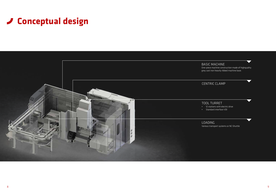# **Conceptual design**

### BASIC MACHINE

One-piece machine construction made of highquality grey cast iron heavily ribbed machine base.

## CENTRIC CLAMP

TOOL TURRET • 12 stations with electric drive • Standard interface VDI



Various transport systems or NC-Shuttle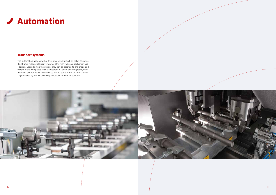## **Automation**

### **Transport systems**

The automation options with different conveyors (such as pallet conveyor, drag frame, friction roller conveyor, etc.) offer highly variable application possibilities. Depending on the design, they can be adapted to the shape and weight of the workpieces to be transported. A variety of linking tasks, maximum flexibility and easy maintenance are just some of the countless advantages offered by these individually adaptable automation solutions.



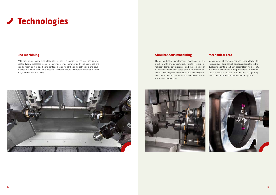### **End machining**

## **Technologies**

With the end machining technology Weisser offers a solution for the face machining of shafts. Typical processes include deburring, facing, chamfering, drilling, centering and spindle machining. In addition to contour machining at the ends, both single and double-sided machining of shafts is possible. The technology also offers advantages in terms of cycle time and availability.



### **Simultaneous machining**

Highly productive simultaneous machining in one machine with two powerful disk turrets (4-axes). Intelligent technology processes and the combination of different machining steps offer high savings potential. Working with two tools simultaneously shortens the machining times of the workpiece and re-term stability of the complete machine system. duces the cost per part.



#### **Mechanical zero**

Measuring of all components and units relevant for the accuracy - despite high basic accuracies the individual components are "finely assembled". As a result, mechanical deviations during assembly are minimized and wear is reduced. This ensures a high long-

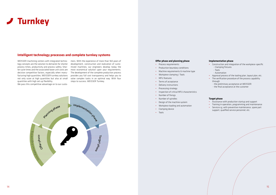

#### **Intelligent technology processes and complete turnkey systems**

WEISSER machining centers with integrated technology concepts are the solution to demands for shorter process times, productivity and process safety. Shorter cycle times and the associated lower unit costs are decisive competitive factors, especially when manufacturing high quantities. WEISSER turnkey solutions not only score at high quantities but also at small quantities with high set-up flexibility.

We pass this competitive advantage on to our custo-

mers. With the experience of more than 160 years of development, construction and realization of customized machines, our engineers develop today the most economical solution upon your requirements. The development of the complete production process provides you full cost transparency and helps you to solve complex tasks in an optimal way. With four steps to success. WEISSER Turnkey.



#### **Offer phase and planning phase**

- Process requirements
- Production boundary conditions
- Machine requirements & machine type
- Workpiece clamping / Tools
- MFU features
- Terms of acceptance
- Delivery instructions
- Processing strategy
- Inspection of critical MFU characteristics
- Number of fixings
- Number of spindles
- Design of the machine system
- Workpiece loading and automation
- Clamping device
- Tools

#### **Implementation phase**

- Construction and integration of the workpiece-specific
	- Clamping fixtures
	- Tools
	- Automation
- Approval process of the tooling plan, layout plan, etc.
- The verification procedure of the process capability
	- through
	- the preliminary acceptance at WEISSER
	- the final acceptance at the customer

#### **Target phase**

- Assistance with production startup and support
- Training in operation, programming and maintenance
- Service e.g. with preventive maintenance, spare part support, qualified service personnel, etc.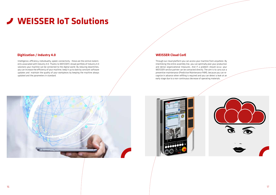### **Digitization / Industry 4.0**

# **WEISSER IoT Solutions**

Intelligence, efficiency, individuality, speed, connectivity - these are the central statements associated with Industry 4.0. Thanks to WEISSER's broad portfolio of Industry 4.0 solutions your machine can be connected to the digital world. By reducing downtimes, you can increase the efficiency of your machine, keep it up to date by constant software updates and maintain the quality of your workpieces by keeping the machine always updated and the parameters in standard.

### **WEISSER Cloud CorE**

Through our cloud platform you can access your machine from anywhere. By interlinking the entire assembly line, you can optimally plan your production and derive organizational measures. And if a problem should occur, your WEISSER service partner can be contacted directly. The aim is to carry out a preventive maintenance (Predictive Maintenance PdM), because you can recognize in advance when refilling is required and you can detect a leak at an early stage due to a non-continuous decrease of operating materials.





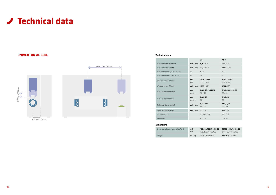#### **Dimensions**



#### **Technical data**

|                                |              | AE                           | AE-T                         |
|--------------------------------|--------------|------------------------------|------------------------------|
| Max. workpiece diameter        | inch / mm    | 5,91/150                     | 5,91/150                     |
| Max. workpiece lenght          | inch / mm    | 23,62/600                    | 23,62 / 600                  |
| Max. Feed force X/Z (40 % CDF) | kN           | 5/5                          | 5/5                          |
| Max. Feed force X2 (40 % CDF)  | kN           | 12                           | 12                           |
| Working stroke X/Z-axis        | inch<br>mm   | 13,78 / 74,80<br>350 / 1.900 | 12,20 / 74,80<br>310 / 1.900 |
| Working stroke Z2-axis         | inch / mm    | 17,99 / 457                  | 17,99 /457                   |
| Max. Process speed X/Z         | ipm<br>m/min | 2.362,20 / 1.968,50<br>30/50 | 2.362,20 / 1.968,50<br>30/50 |
| Max. Process speed Z2          | ipm<br>m/min | 2.362,20<br>30               | 2.362,20<br>30               |
| Ball screw diameter X/Z        | inch / mm    | 1,57/1,57<br>40/40           | 1,57/1,57<br>40/40           |
| Ball screw diameter Z2         | inch / mm    | 1,57/40                      | 1,57/40                      |
| Number of tools                |              | 2/6/8(2x)                    | $2 \times 6(2x)$             |
| Tool holder                    |              | <b>HSK 63</b>                | <b>HSK 63</b>                |

| Dimensions basic machine (LxWxH) | inch               | 189,82 x 108,27 x 124,02          | 189,82 x 118,11 x 124,02          |
|----------------------------------|--------------------|-----------------------------------|-----------------------------------|
|                                  | mm                 | $5.050 \times 2.750 \times 3.150$ | $5.050 \times 3.000 \times 3.150$ |
| Weight                           | <b>lbs</b> / $k$ g | 31.967,03 / 14.500                | <b>37.478.59</b> / 17.000         |

## **UNIVERTOR AE 650L**